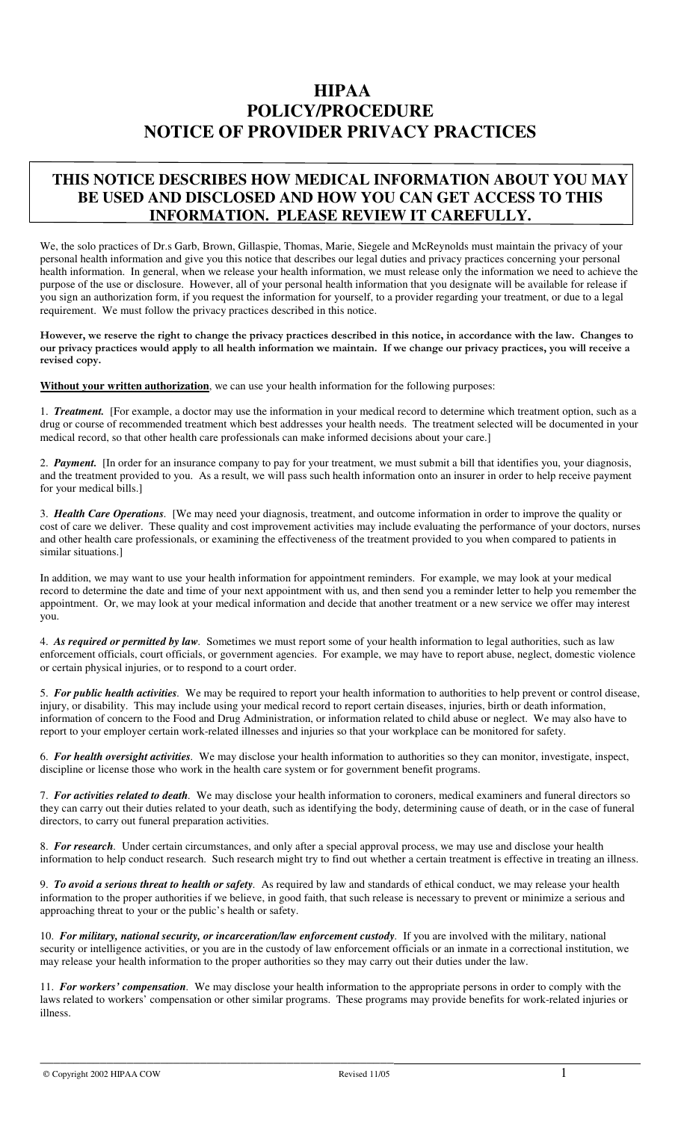# **HIPAA POLICY/PROCEDURE NOTICE OF PROVIDER PRIVACY PRACTICES**

# **THIS NOTICE DESCRIBES HOW MEDICAL INFORMATION ABOUT YOU MAY BE USED AND DISCLOSED AND HOW YOU CAN GET ACCESS TO THIS INFORMATION. PLEASE REVIEW IT CAREFULLY.**

We, the solo practices of Dr.s Garb, Brown, Gillaspie, Thomas, Marie, Siegele and McReynolds must maintain the privacy of your personal health information and give you this notice that describes our legal duties and privacy practices concerning your personal health information. In general, when we release your health information, we must release only the information we need to achieve the purpose of the use or disclosure. However, all of your personal health information that you designate will be available for release if you sign an authorization form, if you request the information for yourself, to a provider regarding your treatment, or due to a legal requirement. We must follow the privacy practices described in this notice.

**However, we reserve the right to change the privacy practices described in this notice, in accordance with the law. Changes to our privacy practices would apply to all health information we maintain. If we change our privacy practices, you will receive a revised copy.** 

**Without your written authorization**, we can use your health information for the following purposes:

1. *Treatment.* [For example, a doctor may use the information in your medical record to determine which treatment option, such as a drug or course of recommended treatment which best addresses your health needs. The treatment selected will be documented in your medical record, so that other health care professionals can make informed decisions about your care.]

2. *Payment.* [In order for an insurance company to pay for your treatment, we must submit a bill that identifies you, your diagnosis, and the treatment provided to you. As a result, we will pass such health information onto an insurer in order to help receive payment for your medical bills.]

3. *Health Care Operations.* [We may need your diagnosis, treatment, and outcome information in order to improve the quality or cost of care we deliver. These quality and cost improvement activities may include evaluating the performance of your doctors, nurses and other health care professionals, or examining the effectiveness of the treatment provided to you when compared to patients in similar situations.]

In addition, we may want to use your health information for appointment reminders. For example, we may look at your medical record to determine the date and time of your next appointment with us, and then send you a reminder letter to help you remember the appointment. Or, we may look at your medical information and decide that another treatment or a new service we offer may interest you.

4. *As required or permitted by law.* Sometimes we must report some of your health information to legal authorities, such as law enforcement officials, court officials, or government agencies. For example, we may have to report abuse, neglect, domestic violence or certain physical injuries, or to respond to a court order.

5. *For public health activities.* We may be required to report your health information to authorities to help prevent or control disease, injury, or disability. This may include using your medical record to report certain diseases, injuries, birth or death information, information of concern to the Food and Drug Administration, or information related to child abuse or neglect. We may also have to report to your employer certain work-related illnesses and injuries so that your workplace can be monitored for safety.

6. *For health oversight activities.* We may disclose your health information to authorities so they can monitor, investigate, inspect, discipline or license those who work in the health care system or for government benefit programs.

7. *For activities related to death.* We may disclose your health information to coroners, medical examiners and funeral directors so they can carry out their duties related to your death, such as identifying the body, determining cause of death, or in the case of funeral directors, to carry out funeral preparation activities.

8. *For research.* Under certain circumstances, and only after a special approval process, we may use and disclose your health information to help conduct research. Such research might try to find out whether a certain treatment is effective in treating an illness.

9. *To avoid a serious threat to health or safety.* As required by law and standards of ethical conduct, we may release your health information to the proper authorities if we believe, in good faith, that such release is necessary to prevent or minimize a serious and approaching threat to your or the public's health or safety.

10. *For military, national security, or incarceration/law enforcement custody.* If you are involved with the military, national security or intelligence activities, or you are in the custody of law enforcement officials or an inmate in a correctional institution, we may release your health information to the proper authorities so they may carry out their duties under the law.

11. *For workers' compensation.* We may disclose your health information to the appropriate persons in order to comply with the laws related to workers' compensation or other similar programs. These programs may provide benefits for work-related injuries or illness.

\_\_\_\_\_\_\_\_\_\_\_\_\_\_\_\_\_\_\_\_\_\_\_\_\_\_\_\_\_\_\_\_\_\_\_\_\_\_\_\_\_\_\_\_\_\_\_\_\_\_\_\_\_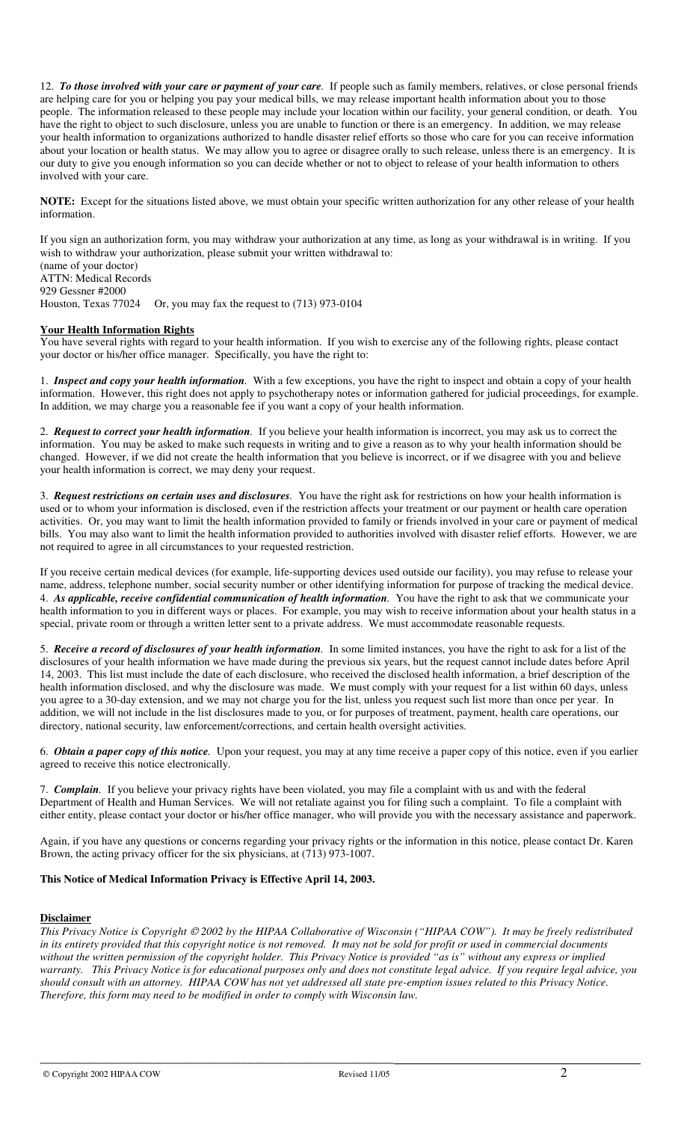12. *To those involved with your care or payment of your care.* If people such as family members, relatives, or close personal friends are helping care for you or helping you pay your medical bills, we may release important health information about you to those people. The information released to these people may include your location within our facility, your general condition, or death. You have the right to object to such disclosure, unless you are unable to function or there is an emergency. In addition, we may release your health information to organizations authorized to handle disaster relief efforts so those who care for you can receive information about your location or health status. We may allow you to agree or disagree orally to such release, unless there is an emergency. It is our duty to give you enough information so you can decide whether or not to object to release of your health information to others involved with your care.

**NOTE:** Except for the situations listed above, we must obtain your specific written authorization for any other release of your health information.

If you sign an authorization form, you may withdraw your authorization at any time, as long as your withdrawal is in writing. If you wish to withdraw your authorization, please submit your written withdrawal to: (name of your doctor)

ATTN: Medical Records 929 Gessner #2000 Houston, Texas 77024 Or, you may fax the request to (713) 973-0104

### **Your Health Information Rights**

You have several rights with regard to your health information. If you wish to exercise any of the following rights, please contact your doctor or his/her office manager. Specifically, you have the right to:

1. *Inspect and copy your health information.* With a few exceptions, you have the right to inspect and obtain a copy of your health information. However, this right does not apply to psychotherapy notes or information gathered for judicial proceedings, for example. In addition, we may charge you a reasonable fee if you want a copy of your health information.

2. *Request to correct your health information.* If you believe your health information is incorrect, you may ask us to correct the information. You may be asked to make such requests in writing and to give a reason as to why your health information should be changed. However, if we did not create the health information that you believe is incorrect, or if we disagree with you and believe your health information is correct, we may deny your request.

3. *Request restrictions on certain uses and disclosures.* You have the right ask for restrictions on how your health information is used or to whom your information is disclosed, even if the restriction affects your treatment or our payment or health care operation activities. Or, you may want to limit the health information provided to family or friends involved in your care or payment of medical bills. You may also want to limit the health information provided to authorities involved with disaster relief efforts. However, we are not required to agree in all circumstances to your requested restriction.

If you receive certain medical devices (for example, life-supporting devices used outside our facility), you may refuse to release your name, address, telephone number, social security number or other identifying information for purpose of tracking the medical device. 4. *As applicable, receive confidential communication of health information.* You have the right to ask that we communicate your health information to you in different ways or places. For example, you may wish to receive information about your health status in a special, private room or through a written letter sent to a private address. We must accommodate reasonable requests.

5. *Receive a record of disclosures of your health information.* In some limited instances, you have the right to ask for a list of the disclosures of your health information we have made during the previous six years, but the request cannot include dates before April 14, 2003. This list must include the date of each disclosure, who received the disclosed health information, a brief description of the health information disclosed, and why the disclosure was made. We must comply with your request for a list within 60 days, unless you agree to a 30-day extension, and we may not charge you for the list, unless you request such list more than once per year. In addition, we will not include in the list disclosures made to you, or for purposes of treatment, payment, health care operations, our directory, national security, law enforcement/corrections, and certain health oversight activities.

6. *Obtain a paper copy of this notice.* Upon your request, you may at any time receive a paper copy of this notice, even if you earlier agreed to receive this notice electronically.

7. *Complain.* If you believe your privacy rights have been violated, you may file a complaint with us and with the federal Department of Health and Human Services. We will not retaliate against you for filing such a complaint. To file a complaint with either entity, please contact your doctor or his/her office manager, who will provide you with the necessary assistance and paperwork.

Again, if you have any questions or concerns regarding your privacy rights or the information in this notice, please contact Dr. Karen Brown, the acting privacy officer for the six physicians, at (713) 973-1007.

### **This Notice of Medical Information Privacy is Effective April 14, 2003.**

\_\_\_\_\_\_\_\_\_\_\_\_\_\_\_\_\_\_\_\_\_\_\_\_\_\_\_\_\_\_\_\_\_\_\_\_\_\_\_\_\_\_\_\_\_\_\_\_\_\_\_\_\_

#### **Disclaimer**

*This Privacy Notice is Copyright 2002 by the HIPAA Collaborative of Wisconsin ("HIPAA COW"). It may be freely redistributed in its entirety provided that this copyright notice is not removed. It may not be sold for profit or used in commercial documents without the written permission of the copyright holder. This Privacy Notice is provided "as is" without any express or implied warranty. This Privacy Notice is for educational purposes only and does not constitute legal advice. If you require legal advice, you should consult with an attorney. HIPAA COW has not yet addressed all state pre-emption issues related to this Privacy Notice. Therefore, this form may need to be modified in order to comply with Wisconsin law.*